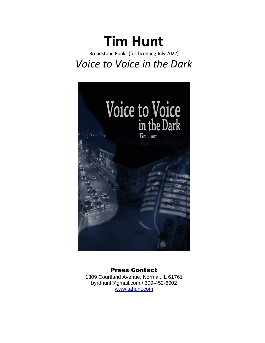# **Tim Hunt**

Broadstone Books (forthcoming July 2022) *Voice to Voice in the Dark*



## Press Contact

1309 Courtland Avenue, Normal, IL 61761 [byrdhunt@gmail.com](mailto:byrdhunt@gmail.com) / 309-452-6002 [www.tahunt.com](http://www.tahunt.com/)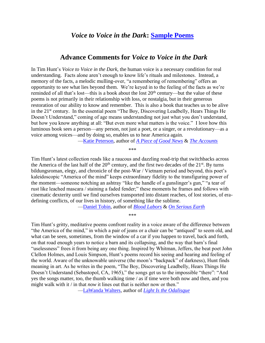## *Voice to Voice in the Dark***: [Sample Poems](https://www.tahunt.com/voice-to-voice-in-the-dark-sample-poems/)**

## **Advance Comments for** *Voice to Voice in the Dark*

In Tim Hunt's *Voice to Voice in the Dark,* the human voice is a necessary condition for real understanding. Facts alone aren't enough to know life's rituals and milestones. Instead, a memory of the facts, a melodic mulling-over, "a remembering of remembering" offers an opportunity to see what lies beyond them. We're keyed in to the feeling of the facts as we're reminded of all that's lost—this is a book about the lost  $20<sup>th</sup>$  century—but the value of these poems is not primarily in their relationship with loss, or nostalgia, but in their generous restoration of our ability to know and remember. This is also a book that teaches us to be alive in the 21<sup>st</sup> century. In the essential poem "The Boy, Discovering Leadbelly, Hears Things He Doesn't Understand," coming of age means understanding not just what you don't understand, but how you know anything at all: "But even more what matters is the voice." I love how this luminous book sees a person—any person, not just a poet, or a singer, or a revolutionary—as a voice among voices—and by doing so, enables us to hear America again.

[—Katie Peterson,](https://www.poetryfoundation.org/poets/katie-peterson) author of *[A Piece of Good News](https://us.macmillan.com/books/9780374538880/a-piece-of-good-news)* & *[The Accounts](https://press.uchicago.edu/ucp/books/book/chicago/A/bo16302471.html)*

\*\*\*

Tim Hunt's latest collection reads like a raucous and dazzling road-trip that switchbacks across the America of the last half of the  $20<sup>th</sup>$  century, and the first two decades of the  $21<sup>st</sup>$ . By turns bildungsroman, elegy, and chronicle of the post-War / Vietnam period and beyond, this poet's kaleidoscopic "America of the mind" keeps extraordinary fidelity to the transfiguring power of the moment—someone notching an ashtray "like the handle of a gunslinger's gun," "a tear of rust like leached mascara / staining a faded fender;" these moments he frames and follows with cinematic dexterity until we find ourselves transported into distant reaches, of lost stories, of eradefining conflicts, of our lives in history, of something like the sublime.

[—Daniel Tobin,](https://www.poetryfoundation.org/poets/daniel-tobin) author of *[Blood Labors](https://fourwaybooks.com/site/blood-labors-daniel-tobin/)* & *[On Serious Earth](https://www.orisonbooks.com/product-page/on-serious-earth-poetry-transcendence-by-daniel-tobin)*

\*\*\*

Tim Hunt's gritty, meditative poems confront reality in a voice aware of the difference between "the America of the mind," in which a pair of jeans or a chair can be "antiqued" to seem old, and what can be seen, sometimes, from the window of a car if you happen to travel, back and forth, on that road enough years to notice a barn and its collapsing, and the way that barn's final "uselessness" frees it from being any one thing. Inspired by Whitman, Jeffers, the beat poet John Clellon Holmes, and Louis Simpson, Hunt's poems record his seeing and hearing and feeling of the world. Aware of the unknowable universe (the moon's "backpack" of darkness), Hunt finds meaning in art. As he writes in the poem, "The Boy, Discovering Leadbelly, Hears Things He Doesn't Understand (Sebastopol, CA, 1965)," the songs get us to the impossible "there": "And yes the songs matter, too, the thumb walking time / as if time were both now and then, and you might walk with it / in that *now* it lines out that is neither now or then."

[—LaWanda Walters,](https://www.poetryfoundation.org/poets/lawanda-walters) author of *[Light Is the Odalisque](https://www.press53.com/poetry-collections/light-is-the-odalisque-by-lawanda-walters)*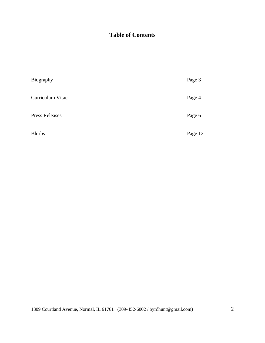## **Table of Contents**

| Biography             | Page 3  |
|-----------------------|---------|
| Curriculum Vitae      | Page 4  |
| <b>Press Releases</b> | Page 6  |
| <b>Blurbs</b>         | Page 12 |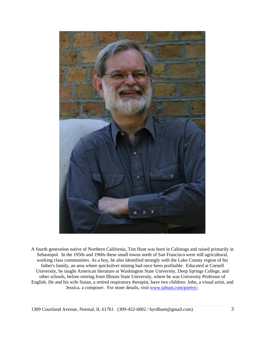

A fourth generation native of Northern California, Tim Hunt was born in Calistoga and raised primarily in Sebastopol. In the 1950s and 1960s these small towns north of San Francisco were still agricultural, working class communities. As a boy, he also identified strongly with the Lake County region of his father's family, an area where quicksilver mining had once been profitable. Educated at Cornell University, he taught American literature at Washington State University, Deep Springs College, and other schools, before retiring from Illinois State University, where he was University Professor of English. He and his wife Susan, a retired respiratory therapist, have two children: John, a visual artist, and Jessica, a composer. For more details, visit [www.tahunt.com/poetry/.](https://www.tahunt.com/poetry/)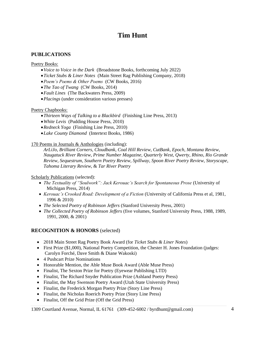## **Tim Hunt**

## **PUBLICATIONS**

Poetry Books:

- •*Voice to Voice in the Dark* (Broadstone Books, forthcoming July 2022)
- •*Ticket Stubs & Liner Notes* (Main Street Rag Publishing Company, 2018)
- •*Poem's Poems & Other Poems* (CW Books, 2016)
- •*The Tao of Twang* (CW Books, 2014)
- •*Fault Lines* (The Backwaters Press, 2009)
- •*Placings* (under consideration various presses)

#### Poetry Chapbooks:

- •*Thirteen Ways of Talking to a Blackbird* (Finishing Line Press, 2013)
- •*White Levis* (Pudding House Press, 2010)
- •*Redneck Yoga* (Finishing Line Press, 2010)
- •*Lake County Diamond* (Intertext Books, 1986)

170 Poems in Journals & Anthologies (including):

*ArLiJo*, *Brilliant Corners*, *Cloudbank*, *Coal Hill Review*, *CutBank*, *Epoch*, *Montana Review*, *Naugatuck River Review*, *Prime Number Magazine*, *Quarterly West*, *Qwerty*, *Rhino*, *Rio Grande Review*, *Sequestrum*, *Southern Poetry Review*, *Spillway*, *Spoon River Poetry Review*, *Storyscape*, *Tahoma Literary Review*, & *Tar River Poetry*

#### Scholarly Publications (selected):

- *The Textuality of "Soulwork": Jack Kerouac's Search for Spontaneous Prose* (University of Michigan Press, 2014)
- *Kerouac's Crooked Road: Development of a Fiction* (University of California Press et al, 1981, 1996 & 2010)
- *The Selected Poetry of Robinson Jeffers* (Stanford University Press, 2001)
- *The Collected Poetry of Robinson Jeffers* (five volumes, Stanford University Press, 1988, 1989, 1991, 2000, & 2001)

## **RECOGNITION & HONORS** (selected)

- 2018 Main Street Rag Poetry Book Award (for *Ticket Stubs & Liner Notes*)
- First Prize (\$1,000), National Poetry Competition, the Chester H. Jones Foundation (judges: Carolyn Forché, Dave Smith & Diane Wakoski)
- 4 Pushcart Prize Nominations
- Honorable Mention, the Able Muse Book Award (Able Muse Press)
- Finalist, The Sexton Prize for Poetry (Eyewear Publishing LTD)
- Finalist, The Richard Snyder Publication Prize (Ashland Poetry Press)
- Finalist, the May Swenson Poetry Award (Utah State University Press)
- Finalist, the Frederick Morgan Poetry Prize (Story Line Press)
- Finalist, the Nicholas Roerich Poetry Prize (Story Line Press)
- Finalist, Off the Grid Prize (Off the Grid Press)

1309 Courtland Avenue, Normal, IL 61761 (309-452-6002 / byrdhunt@gmail.com) 4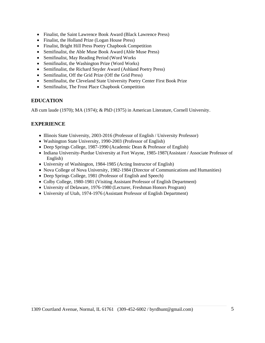- Finalist, the Saint Lawrence Book Award (Black Lawrence Press)
- Finalist, the Holland Prize (Logan House Press)
- Finalist, Bright Hill Press Poetry Chapbook Competition
- Semifinalist, the Able Muse Book Award (Able Muse Press)
- Semifinalist, May Reading Period (Word Works
- Semifinalist, the Washington Prize (Word Works)
- Semifinalist, the Richard Snyder Award (Ashland Poetry Press)
- Semifinalist, Off the Grid Prize (Off the Grid Press)
- Semifinalist, the Cleveland State University Poetry Center First Book Prize
- Semifinalist, The Frost Place Chapbook Competition

#### **EDUCATION**

AB cum laude (1970); MA (1974); & PhD (1975) in American Literature, Cornell University.

#### **EXPERIENCE**

- Illinois State University, 2003-2016 (Professor of English / University Professor)
- Washington State University, 1990-2003 (Professor of English)
- Deep Springs College, 1987-1990 (Academic Dean & Professor of English)
- Indiana University-Purdue University at Fort Wayne, 1985-1987(Assistant / Associate Professor of English)
- University of Washington, 1984-1985 (Acting Instructor of English)
- Nova College of Nova University, 1982-1984 (Director of Communications and Humanities)
- Deep Springs College, 1981 (Professor of English and Speech)
- Colby College, 1980-1981 (Visiting Assistant Professor of English Department)
- University of Delaware, 1976-1980 (Lecturer, Freshman Honors Program)
- University of Utah, 1974-1976 (Assistant Professor of English Department)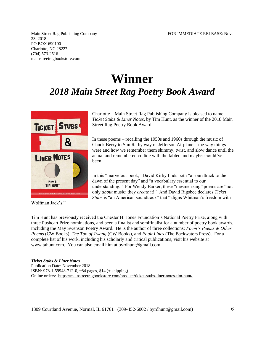Main Street Rag Publishing Company FOR IMMEDIATE RELEASE: Nov. 23, 2018 PO BOX 690100 Charlotte, NC 28227 (704) 573-2516 mainstreetragbookstore.com

## **Winner** *2018 Main Street Rag Poetry Book Award*



Wolfman Jack's."

Charlotte – Main Street Rag Publishing Company is pleased to name *Ticket Stubs & Liner Notes*, by Tim Hunt, as the winner of the 2018 Main Street Rag Poetry Book Award.

In these poems – recalling the 1950s and 1960s through the music of Chuck Berry to Sun Ra by way of Jefferson Airplane – the way things were and how we remember them shimmy, twist, and slow dance until the actual and remembered collide with the fabled and maybe should've been.

In this "marvelous book," David Kirby finds both "a soundtrack to the dawn of the present day" and "a vocabulary essential to our understanding." For Wendy Barker, these "mesmerizing" poems are "not only *about* music; they *create* it!" And David Rigsbee declares *Ticket Stubs* is "an American soundtrack" that "aligns Whitman's freedom with

Tim Hunt has previously received the Chester H. Jones Foundation's National Poetry Prize, along with three Pushcart Prize nominations, and been a finalist and semifinalist for a number of poetry book awards, including the May Swenson Poetry Award. He is the author of three collections: *Poem's Poems & Other Poems* (CW Books), *The Tao of Twang* (CW Books), and *Fault Lines* (The Backwaters Press). For a complete list of his work, including his scholarly and critical publications, visit his website at [www.tahunt.com.](http://www.tahunt.com/) You can also email him at byrdhunt@gmail.com

#### *Ticket Stubs* **&** *Liner Notes*

Publication Date: November 2018 ISBN: 978-1-59948-712-0, ~84 pages, \$14 (+ shipping) Online orders:<https://mainstreetragbookstore.com/product/ticket-stubs-liner-notes-tim-hunt/>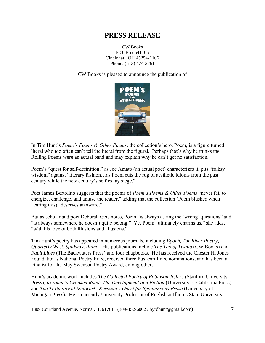CW Books P.O. Box 541106 Cincinnati, OH 45254-1106 Phone: (513) 474-3761

CW Books is pleased to announce the publication of



In Tim Hunt's *Poem's Poems & Other Poems*, the collection's hero, Poem, is a figure turned literal who too often can't tell the literal from the figural. Perhaps that's why he thinks the Rolling Poems were an actual band and may explain why he can't get no satisfaction.

Poem's "quest for self-definition," as Joe Amato (an actual poet) characterizes it, pits "folksy wisdom" against "literary fashion...as Poem cuts the rug of aesthetic idioms from the past century while the new century's selfies lay siege."

Poet James Bertolino suggests that the poems of *Poem's Poems & Other Poems* "never fail to energize, challenge, and amuse the reader," adding that the collection (Poem blushed when hearing this) "deserves an award."

But as scholar and poet Deborah Geis notes, Poem "is always asking the 'wrong' questions" and "is always somewhere he doesn't quite belong." Yet Poem "ultimately charms us," she adds, "with his love of both illusions and allusions."

Tim Hunt's poetry has appeared in numerous journals, including *Epoch*, *Tar River Poetry*, *Quarterly West*, *Spillway*, *Rhino*. His publications include *The Tao of Twang* (CW Books) and *Fault Lines* (The Backwaters Press) and four chapbooks. He has received the Chester H. Jones Foundation's National Poetry Prize, received three Pushcart Prize nominations, and has been a Finalist for the May Swenson Poetry Award, among others.

Hunt's academic work includes *The Collected Poetry of Robinson Jeffers* (Stanford University Press), *Kerouac's Crooked Road: The Development of a Fiction* (University of California Press), and *The Textuality of Soulwork: Kerouac's Quest for Spontaneous Prose* (University of Michigan Press). He is currently University Professor of English at Illinois State University.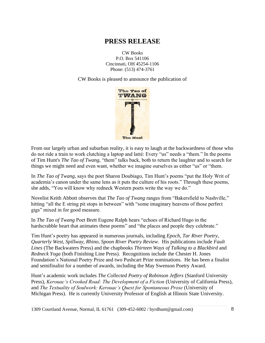CW Books P.O. Box 541106 Cincinnati, OH 45254-1106 Phone: (513) 474-3761

CW Books is pleased to announce the publication of



From our largely urban and suburban reality, it is easy to laugh at the backwardness of those who do not ride a train to work clutching a laptop and latté: Every "us" needs a "them." In the poems of Tim Hunt's *The Tao of Twang,* "them" talks back, both to return the laughter and to search for things we might need and even want, whether we imagine ourselves as either "us" or "them.

In *The Tao of Twang*, says the poet Sharon Doubiago, Tim Hunt's poems "put the Holy Writ of academia's canon under the same lens as it puts the culture of his roots." Through these poems, she adds, "You will know why redneck Western poets write the way we do."

Novelist Keith Abbott observes that *The Tao of Twang* ranges from "Bakersfield to Nashville," hitting "all the E string pit stops in between" with "some imaginary heavens of those perfect gigs" mixed in for good measure.

In *The Tao of Twang* Poet Brett Eugene Ralph hears "echoes of Richard Hugo in the hardscrabble heart that animates these poems" and "the places and people they celebrate."

Tim Hunt's poetry has appeared in numerous journals, including *Epoch*, *Tar River Poetry*, *Quarterly West*, *Spillway*, *Rhino*, *Spoon River Poetry Review*. His publications include *Fault Lines* (The Backwaters Press) and the chapbooks *Thirteen Ways of Talking to a Blackbird* and *Redneck Yoga* (both Finishing Line Press). Recognitions include the Chester H. Jones Foundation's National Poetry Prize and two Pushcart Prize nominations. He has been a finalist and semifinalist for a number of awards, including the May Swenson Poetry Award.

Hunt's academic work includes *The Collected Poetry of Robinson Jeffers* (Stanford University Press), *Kerouac's Crooked Road: The Development of a Fiction* (University of California Press), and *The Textuality of Soulwork: Kerouac's Quest for Spontaneous Prose* (University of Michigan Press). He is currently University Professor of English at Illinois State University.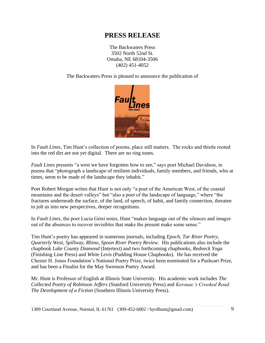The Backwaters Press 3502 North 52nd St. Omaha, NE 68104-3506 (402) 451-4052

The Backwaters Press is pleased to announce the publication of



In *Fault Lines*, Tim Hunt's collection of poems, place still matters. The rocks and thistle rooted into the red dirt are not yet digital. There are no ring tones.

*Fault Lines* presents "a west we have forgotten how to see," says poet Michael Davidson, in poems that "photograph a landscape of resilient individuals, family members, and friends, who at times, seem to be made of the landscape they inhabit."

Poet Robert Morgan writes that Hunt is not only "a poet of the American West, of the coastal mountains and the desert valleys" but "also a poet of the landscape of language," where "the fractures underneath the surface, of the land, of speech, of habit, and family connection, threaten to jolt us into new perspectives, deeper recognitions.

In *Fault Lines*, the poet Lucia Getsi notes, Hunt "makes language out of the silences and images out of the absences to recover invisibles that make the present make some sense."

Tim Hunt's poetry has appeared in numerous journals, including *Epoch*, *Tar River Poetry*, *Quarterly West*, *Spillway*, *Rhino*, *Spoon River Poetry Review*. His publications also include the chapbook *Lake County Diamond* (Intertext) and two forthcoming chapbooks, *Redneck Yoga* (Finishing Line Press) and *White Levis* (Pudding House Chapbooks). He has received the Chester H. Jones Foundation's National Poetry Prize, twice been nominated for a Pushcart Prize, and has been a Finalist for the May Swenson Poetry Award.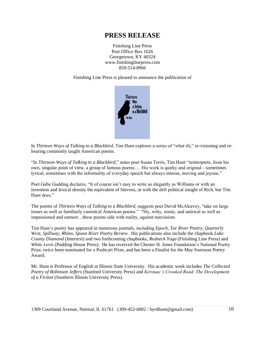Finishing Line Press Post Office Box 1626 Georgetown, KY 40324 www.finishinglinepress.com 859-514-8966

Finishing Line Press is pleased to announce the publication of



In *Thirteen Ways of Talking to a Blackbird*, Tim Hunt explores a series of "what ifs," re-visioning and rehearing commonly taught American poems.

"In T*hirteen Ways of Talking to a Blackbird*," notes poet Susan Terris, Tim Hunt "reinterprets, from his own, singular point of view, a group of famous poems…. His work is quirky and original—sometimes lyrical, sometimes with the informality of everyday speech but always intense, moving and joyous."

Poet Gabe Gudding declares, "It of course isn't easy to write as elegantly as Williams or with an invention and lexical density the equivalent of Stevens, or with the deft political insight of Rich, but Tim Hunt does."

The poems of *Thirteen Ways of Talking to a Blackbird*, suggests poet David McAleavey, "take on large issues as well as familiarly canonical American poems." "Sly, witty, ironic, and satirical as well as impassioned and earnest…these poems side with reality, against narcissism.

Tim Hunt's poetry has appeared in numerous journals, including *Epoch*, *Tar River Poetry*, *Quarterly West*, *Spillway*, *Rhino*, *Spoon River Poetry Review*. His publications also include the chapbook *Lake County Diamond* (Intertext) and two forthcoming chapbooks, *Redneck Yoga* (Finishing Line Press) and *White Levis* (Pudding House Press). He has received the Chester H. Jones Foundation's National Poetry Prize, twice been nominated for a Pushcart Prize, and has been a Finalist for the May Swenson Poetry Award.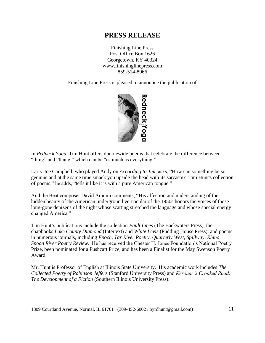Finishing Line Press Post Office Box 1626 Georgetown, KY 40324 www.finishinglinepress.com 859-514-8966

Finishing Line Press is pleased to announce the publication of



In *Redneck Yoga*, Tim Hunt offers doublewide poems that celebrate the difference between "thing" and "thang," which can be "as much as everything."

Larry Joe Campbell, who played Andy on *According to Jim*, asks, "How can something be so genuine and at the same time smack you upside the head with its sarcasm? Tim Hunt's collection of poems," he adds, "tells it like it is with a pure American tongue."

And the Beat composer David Amram comments, "His affection and understanding of the hidden beauty of the American underground vernacular of the 1950s honors the voices of those long-gone denizens of the night whose scatting stretched the language and whose special energy changed America."

Tim Hunt's publications include the collection *Fault Lines* (The Backwaters Press), the chapbooks *Lake County Diamond* (Intertext) and *White Levis* (Pudding House Press), and poems in numerous journals, including *Epoch*, *Tar River Poetry*, *Quarterly West*, *Spillway*, *Rhino*, *Spoon River Poetry Review*. He has received the Chester H. Jones Foundation's National Poetry Prize, been nominated for a Pushcart Prize, and has been a Finalist for the May Swenson Poetry Award.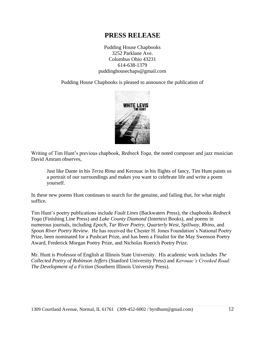Pudding House Chapbooks 3252 Parklane Ave. Columbus Ohio 43231 614-638-1379 puddinghousechaps@gmail.com

Pudding House Chapbooks is pleased to announce the publication of



Writing of Tim Hunt's previous chapbook, *Redneck Yoga*, the noted composer and jazz musician David Amram observes,

Just like Dante in his *Terza Rima* and Kerouac in his flights of fancy, Tim Hunt paints us a portrait of our surroundings and makes you want to celebrate life and write a poem yourself.

In these new poems Hunt continues to search for the genuine, and failing that, for what might suffice.

Tim Hunt's poetry publications include *Fault Lines* (Backwaters Press), the chapbooks *Redneck Yoga* (Finishing Line Press) and *Lake County Diamond* (Intertext Books), and poems in numerous journals, including *Epoch*, *Tar River Poetry*, *Quarterly West*, *Spillway*, *Rhino*, and *Spoon River Poetry Review*. He has received the Chester H. Jones Foundation's National Poetry Prize, been nominated for a Pushcart Prize, and has been a Finalist for the May Swenson Poetry Award, Frederick Morgan Poetry Prize, and Nicholas Roerich Poetry Prize.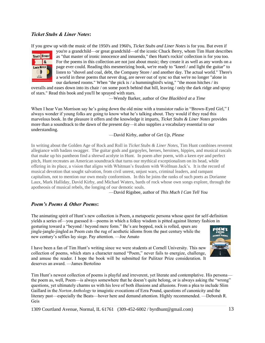#### *Ticket Stubs & Liner Notes***:**

If you grew up with the music of the 1950's and 1960's, *Ticket Stubs and Liner Notes* is for you. But even if



you're a grandchild—or great grandchild—of the iconic Chuck Berry, whom Tim Hunt describes as "that master of ironic innocence and innuendo," then Hunt's rockin' collection is for you too. For the poems in this collection are not just about music; they create it as well as any words on a page ever could. Reading this mesmerizing book, we're ready to "kneel / and light the guitar" to listen to "shovel and coal, debt, the Company Store / and another day. The actual world." There's a world in these poems that never drag, are never out of sync so that we're no longer "alone in our darkened rooms." When "the pick is / a hummingbird's wing," "the moon hitches / its

overalls and eases down into its chair / on some porch behind that hill, leaving / only the dark ridge and spray of stars." Read this book and you'll be sprayed with stars.

—Wendy Barker, author of *One Blackbird at a Time*

When I hear Van Morrison say he's going down the old mine with a transistor radio in "Brown-Eyed Girl," I always wonder if young folks are going to know what he's talking about. They would if they read this marvelous book. In the pleasure it offers and the knowledge it imparts, *Ticket Stubs & Liner Notes* provides more than a soundtrack to the dawn of the present day—it also supplies a vocabulary essential to our understanding.

—David Kirby, author of *Get Up, Please*

In writing about the Golden Age of Rock and Roll in *Ticket Stubs & Liner Notes*, Tim Hunt combines reverent allegiance with badass swagger. The guitar gods and gargoyles, heroes, heroines, hippies, and musical rascals that make up his pantheon find a shrewd acolyte in Hunt. In poem after poem, with a keen eye and perfect pitch, Hunt recreates an American soundtrack that turns our mythical exceptionalism on its head, while offering in its place, a vision that aligns with Whitman's freedom with Wolfman Jack's. It is the record of musical devotion that sought salvation, from civil unrest, unjust wars, criminal leaders, and rampant capitalism, not to mention our own mealy conformism. In this he joins the ranks of such poets as Dorianne Laux, Mark Halliday, David Kirby, and Michael Waters, bards of rock whose own songs explore, through the apotheosis of musical rebels, the longing of our demotic souls.

—David Rigsbee, author of *This Much I Can Tell You*

#### *Poem's Poems & Other Poems***:**

The animating spirit of Hunt's new collection is Poem, a metapoetic persona whose quest for self-definition yields a series of—you guessed it—poems in which a folksy wisdom is pitted against literary fashion in gesturing toward a "beyond / beyond mere form." Be's are bopped, rock is rolled, spurs are jingle-jangle-jingled as Poem cuts the rug of aesthetic idioms from the past century while the new century's selfies lay siege. Pay attention. —Joe Amato



I have been a fan of Tim Hunt's writing since we were students at Cornell University. This new collection of poems, which stars a character named "Poem," never fails to energize, challenge, and amuse the reader. I hope the book will be submitted for Pulitzer Prize consideration. It deserves an award. —James Bertolino

Tim Hunt's newest collection of poems is playful and irreverent, yet literate and contemplative. His persona the poem as, well, Poem—is always somewhere that he doesn't quite belong, or is always asking the "wrong" questions, yet ultimately charms us with his love of both illusions and allusions. From a plea to include Slim Gaillard in the *Norton Anthology* to imagistic evocations of Ezra Pound, questions of canonicity and the literary past—especially the Beats—hover here and demand attention. Highly recommended. —Deborah R. Geis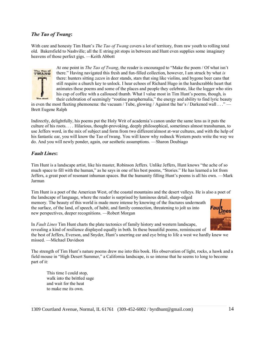#### *The Tao of Twang***:**

With care and honesty Tim Hunt's *The Tao of Twang* covers a lot of territory, from raw youth to rolling total old. Bakersfield to Nashville; all the E string pit stops in between and Hunt even supplies some imaginary heavens of those perfect gigs. —Keith Abbott



At one point in *The Tao of Twang*, the reader is encouraged to "Make the poem / Of what isn't there." Having navigated this fresh and fun-filled collection, however, I am struck by what *is* there: hunters sitting *zazen* in deer stands, stars that sing like violins, and bygone beer cans that still require a church key to unlock. I hear echoes of Richard Hugo in the hardscrabble heart that animates these poems and some of the places and people they celebrate, like the logger who stirs his cup of coffee with a calloused thumb. What I value most in Tim Hunt's poems, though, is their celebration of seemingly "routine paraphernalia," the energy and ability to find lyric beauty

in even the most fleeting phemonena: the vacuum / Tube, glowing / Against the bar's / Darkened wall . . ." — Brett Eugene Ralph

Indirectly, delightfully, his poems put the Holy Writ of academia's canon under the same lens as it puts the culture of his roots. *. . .* Hilarious, thought-provoking, deeply philosophical, sometimes almost transhuman, to use Jeffers word, in the mix of subject and form from two different/almost at-war cultures, and with the help of his fantastic ear, you will know the Tao of twang. You will know why redneck Western poets write the way we do. And you will newly ponder, again, our aesthetic assumptions. —Sharon Doubiago

#### *Fault Lines***:**

Tim Hunt is a landscape artist, like his master, Robinson Jeffers. Unlike Jeffers, Hunt knows "the ache of so much space to fill with the human," as he says in one of his best poems, "Stories." He has learned a lot from Jeffers, a great poet of resonant inhuman spaces. But the humanity filling Hunt's poems is all his own. —Mark Jarman

Tim Hunt is a poet of the American West, of the coastal mountains and the desert valleys. He is also a poet of the landscape of language, where the reader is surprised by luminous detail, sharp-edged memory. The beauty of this world is made more intense by knowing of the fractures underneath the surface, of the land, of speech, of habit, and family connection, threatening to jolt us into new perspectives, deeper recognitions. —Robert Morgan



In *Fault Lines* Tim Hunt charts the plate tectonics of family history and western landscape, revealing a kind of resilience displayed equally in both. In these beautiful poems, reminiscent of

the best of Jeffers, Everson, and Snyder, Hunt's unerring ear and eye bring to life a west we hardly knew we missed. —Michael Davidson

The strength of Tim Hunt's nature poems drew me into this book. His observation of light, rocks, a hawk and a field mouse in "High Desert Summer," a California landscape, is so intense that he seems to long to become part of it:

This time I could stop, walk into the brittled sage and wait for the heat to make me its own.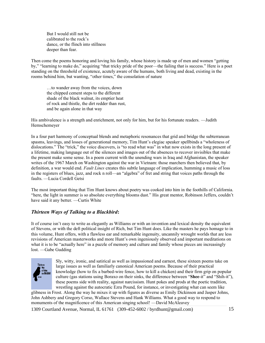But I would still not be calibrated to the rock's dance, or the flinch into stillness deeper than fear.

Then come the poems honoring and loving his family, whose history is made up of men and women "getting by," "learning to make do," acquiring "that tricky pride of the poor—the failing that is success." Here is a poet standing on the threshold of existence, acutely aware of the humans, both living and dead, existing in the rooms behind him, but wanting, "other times," the consolation of nature

…to wander away from the voices, down the chipped cement steps to the different shade of the black walnut, its emptier heat of rock and thistle, the dirt redder than rust, and be again alone in that way

His ambivalence is a strength and enrichment, not only for him, but for his fortunate readers. —Judith Hemschemeyer

In a four part harmony of conceptual blends and metaphoric resonances that grid and bridge the subterranean spasms, leavings, and losses of generational memory, Tim Hunt's elegiac speaker spellbinds a "wholeness of dislocations." The "trick," the voice discovers, is "to read what was" in what now exists in the long present of a lifetime, making language out of the silences and images out of the absences to recover invisibles that make the present make some sense. In a poem current with the unending wars in Iraq and Afghanistan, the speaker writes of the 1967 March on Washington against the war in Vietnam: those marchers then believed that, by definition, a war would end. *Fault Lines* creates this subtle language of implication, humming a music of loss in the registers of blues, jazz, and rock n roll—an "algebra" of fret and string that voices paths through the faults. —Lucia Cordell Getsi

The most important thing that Tim Hunt knows about poetry was cooked into him in the foothills of California. "here, the light in summer is so absolute everything blooms dust." His great mentor, Robinson Jeffers, couldn't have said it any better. —Curtis White

## *Thirteen Ways of Talking to a Blackbird***:**

It of course isn't easy to write as elegantly as Williams or with an invention and lexical density the equivalent of Stevens, or with the deft political insight of Rich, but Tim Hunt does. Like the masters he pays homage to in this volume, Hunt offers, with a flawless ear and remarkable ingenuity, uncannily wrought worlds that are less revisions of American masterworks and more Hunt's own ingeniously observed and important meditations on what it is to be "actually here" in a puzzle of memory and culture and family whose pieces are increasingly lost. —Gabe Gudding



Sly, witty, ironic, and satirical as well as impassioned and earnest, these sixteen poems take on large issues as well as familiarly canonical American poems. Because of their practical knowledge (how to fix a barbed-wire fence, how to kill a chicken) and their firm grip on popular culture (gas stations using Boraxo on their sinks, the difference between "**Shee**-it" and "Shih-it"), these poems side with reality, against narcissism. Hunt pokes and prods at the poetic tradition, wrestling against the autocratic Ezra Pound, for instance, or investigating what can seem like

glibness in Frost. Along the way he mixes it up with figures as diverse as Emily Dickinson and Jasper Johns, John Ashbery and Gregory Corso, Wallace Stevens and Hank Williams. What a good way to respond to monuments of the magnificence of this American singing school! —David McAleavey

1309 Courtland Avenue, Normal, IL 61761 (309-452-6002 / byrdhunt@gmail.com) 15